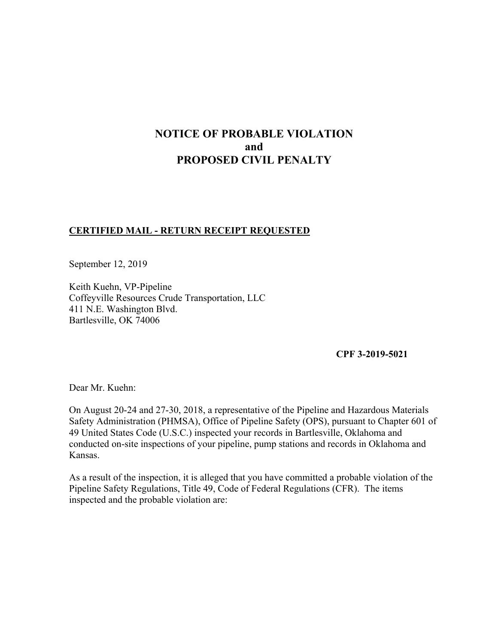# **NOTICE OF PROBABLE VIOLATION and PROPOSED CIVIL PENALTY**

## **CERTIFIED MAIL - RETURN RECEIPT REQUESTED**

September 12, 2019

Keith Kuehn, VP-Pipeline Coffeyville Resources Crude Transportation, LLC 411 N.E. Washington Blvd. Bartlesville, OK 74006

### **CPF 3-2019-5021**

Dear Mr. Kuehn:

On August 20-24 and 27-30, 2018, a representative of the Pipeline and Hazardous Materials Safety Administration (PHMSA), Office of Pipeline Safety (OPS), pursuant to Chapter 601 of 49 United States Code (U.S.C.) inspected your records in Bartlesville, Oklahoma and conducted on-site inspections of your pipeline, pump stations and records in Oklahoma and Kansas.

As a result of the inspection, it is alleged that you have committed a probable violation of the Pipeline Safety Regulations, Title 49, Code of Federal Regulations (CFR). The items inspected and the probable violation are: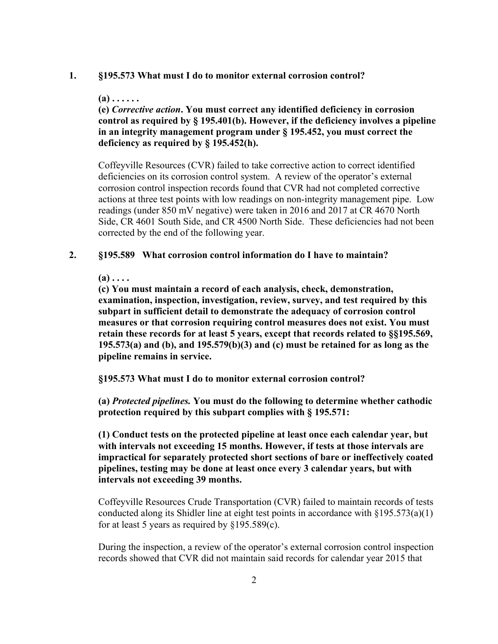#### **1. §195.573 What must I do to monitor external corrosion control?**

**(a) . . . . . .** 

**(e)** *Corrective action***. You must correct any identified deficiency in corrosion control as required by § 195.401(b). However, if the deficiency involves a pipeline in an integrity management program under § 195.452, you must correct the deficiency as required by § 195.452(h).** 

Coffeyville Resources (CVR) failed to take corrective action to correct identified deficiencies on its corrosion control system. A review of the operator's external corrosion control inspection records found that CVR had not completed corrective actions at three test points with low readings on non-integrity management pipe. Low readings (under 850 mV negative) were taken in 2016 and 2017 at CR 4670 North Side, CR 4601 South Side, and CR 4500 North Side. These deficiencies had not been corrected by the end of the following year.

#### **2. §195.589 What corrosion control information do I have to maintain?**

 $(a) \ldots$ 

**(c) You must maintain a record of each analysis, check, demonstration, examination, inspection, investigation, review, survey, and test required by this subpart in sufficient detail to demonstrate the adequacy of corrosion control measures or that corrosion requiring control measures does not exist. You must retain these records for at least 5 years, except that records related to §§195.569, 195.573(a) and (b), and 195.579(b)(3) and (c) must be retained for as long as the pipeline remains in service.** 

**§195.573 What must I do to monitor external corrosion control?** 

**(a)** *Protected pipelines.* **You must do the following to determine whether cathodic protection required by this subpart complies with § 195.571:** 

**(1) Conduct tests on the protected pipeline at least once each calendar year, but with intervals not exceeding 15 months. However, if tests at those intervals are impractical for separately protected short sections of bare or ineffectively coated pipelines, testing may be done at least once every 3 calendar years, but with intervals not exceeding 39 months.**

Coffeyville Resources Crude Transportation (CVR) failed to maintain records of tests conducted along its Shidler line at eight test points in accordance with  $\S 195.573(a)(1)$ for at least 5 years as required by  $$195.589(c)$ .

During the inspection, a review of the operator's external corrosion control inspection records showed that CVR did not maintain said records for calendar year 2015 that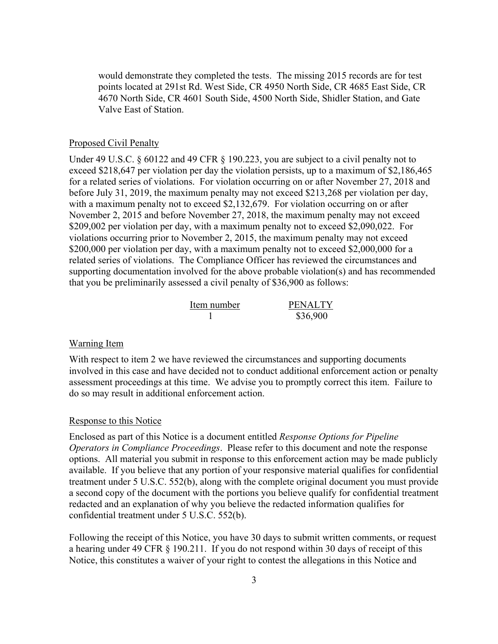would demonstrate they completed the tests. The missing 2015 records are for test points located at 291st Rd. West Side, CR 4950 North Side, CR 4685 East Side, CR 4670 North Side, CR 4601 South Side, 4500 North Side, Shidler Station, and Gate Valve East of Station.

### Proposed Civil Penalty

Under 49 U.S.C. § 60122 and 49 CFR § 190.223, you are subject to a civil penalty not to exceed \$218,647 per violation per day the violation persists, up to a maximum of \$2,186,465 for a related series of violations. For violation occurring on or after November 27, 2018 and before July 31, 2019, the maximum penalty may not exceed \$213,268 per violation per day, with a maximum penalty not to exceed \$2,132,679. For violation occurring on or after November 2, 2015 and before November 27, 2018, the maximum penalty may not exceed \$209,002 per violation per day, with a maximum penalty not to exceed \$2,090,022. For violations occurring prior to November 2, 2015, the maximum penalty may not exceed \$200,000 per violation per day, with a maximum penalty not to exceed \$2,000,000 for a related series of violations. The Compliance Officer has reviewed the circumstances and supporting documentation involved for the above probable violation(s) and has recommended that you be preliminarily assessed a civil penalty of \$36,900 as follows:

| Item number | <b>PENALTY</b> |
|-------------|----------------|
|             | \$36,900       |

#### Warning Item

With respect to item 2 we have reviewed the circumstances and supporting documents involved in this case and have decided not to conduct additional enforcement action or penalty assessment proceedings at this time. We advise you to promptly correct this item. Failure to do so may result in additional enforcement action.

#### Response to this Notice

Enclosed as part of this Notice is a document entitled *Response Options for Pipeline Operators in Compliance Proceedings*. Please refer to this document and note the response options. All material you submit in response to this enforcement action may be made publicly available. If you believe that any portion of your responsive material qualifies for confidential treatment under 5 U.S.C. 552(b), along with the complete original document you must provide a second copy of the document with the portions you believe qualify for confidential treatment redacted and an explanation of why you believe the redacted information qualifies for confidential treatment under 5 U.S.C. 552(b).

Following the receipt of this Notice, you have 30 days to submit written comments, or request a hearing under 49 CFR § 190.211. If you do not respond within 30 days of receipt of this Notice, this constitutes a waiver of your right to contest the allegations in this Notice and